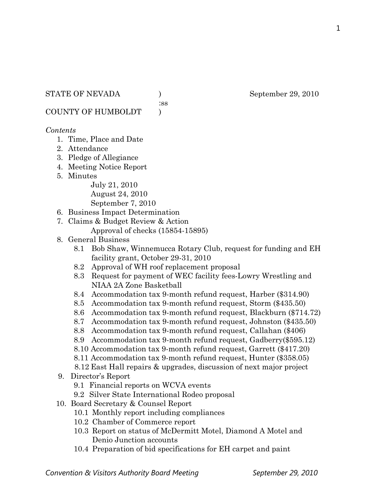:ss

COUNTY OF HUMBOLDT )

## *Contents*

- 1. Time, Place and Date
- 2. Attendance
- 3. Pledge of Allegiance
- 4. Meeting Notice Report
- 5. Minutes

July 21, 2010 August 24, 2010 September 7, 2010

- 6. Business Impact Determination
- 7. Claims & Budget Review & Action
	- Approval of checks (15854-15895)
- 8. General Business
	- 8.1 Bob Shaw, Winnemucca Rotary Club, request for funding and EH facility grant, October 29-31, 2010
	- 8.2 Approval of WH roof replacement proposal
	- 8.3 Request for payment of WEC facility fees-Lowry Wrestling and NIAA 2A Zone Basketball
	- 8.4 Accommodation tax 9-month refund request, Harber (\$314.90)
	- 8.5 Accommodation tax 9-month refund request, Storm (\$435.50)
	- 8.6 Accommodation tax 9-month refund request, Blackburn (\$714.72)
	- 8.7 Accommodation tax 9-month refund request, Johnston (\$435.50)
	- 8.8 Accommodation tax 9-month refund request, Callahan (\$406)
	- 8.9 Accommodation tax 9-month refund request, Gadberry(\$595.12)
	- 8.10 Accommodation tax 9-month refund request, Garrett (\$417.20)
	- 8.11 Accommodation tax 9-month refund request, Hunter (\$358.05)
	- 8.12 East Hall repairs & upgrades, discussion of next major project
- 9. Director's Report
	- 9.1 Financial reports on WCVA events
	- 9.2 Silver State International Rodeo proposal
- 10. Board Secretary & Counsel Report
	- 10.1 Monthly report including compliances
	- 10.2 Chamber of Commerce report
	- 10.3 Report on status of McDermitt Motel, Diamond A Motel and Denio Junction accounts
	- 10.4 Preparation of bid specifications for EH carpet and paint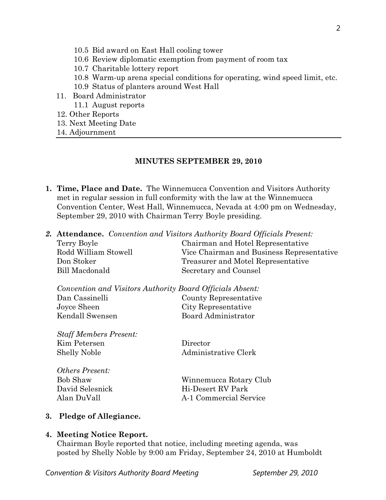- 10.5 Bid award on East Hall cooling tower
- 10.6 Review diplomatic exemption from payment of room tax
- 10.7 Charitable lottery report
- 10.8 Warm-up arena special conditions for operating, wind speed limit, etc.
- 10.9 Status of planters around West Hall
- 11. Board Administrator
	- 11.1 August reports
- 12. Other Reports
- 13. Next Meeting Date
- 14. Adjournment

## **MINUTES SEPTEMBER 29, 2010**

- **1. Time, Place and Date.** The Winnemucca Convention and Visitors Authority met in regular session in full conformity with the law at the Winnemucca Convention Center, West Hall, Winnemucca, Nevada at 4:00 pm on Wednesday, September 29, 2010 with Chairman Terry Boyle presiding.
- *2.* **Attendance.** *Convention and Visitors Authority Board Officials Present:*

| Chairman and Hotel Representative         |
|-------------------------------------------|
| Vice Chairman and Business Representative |
| Treasurer and Motel Representative        |
| Secretary and Counsel                     |
|                                           |

|                 | Convention and Visitors Authority Board Officials Absent: |
|-----------------|-----------------------------------------------------------|
| Dan Cassinelli  | County Representative                                     |
| Joyce Sheen     | City Representative                                       |
| Kendall Swensen | Board Administrator                                       |

*Staff Members Present:* Kim Petersen Director Shelly Noble Administrative Clerk

| Winnemucca Rotary Club |
|------------------------|
| Hi-Desert RV Park      |
| A-1 Commercial Service |
|                        |

# **3. Pledge of Allegiance.**

## **4. Meeting Notice Report.**

Chairman Boyle reported that notice, including meeting agenda, was posted by Shelly Noble by 9:00 am Friday, September 24, 2010 at Humboldt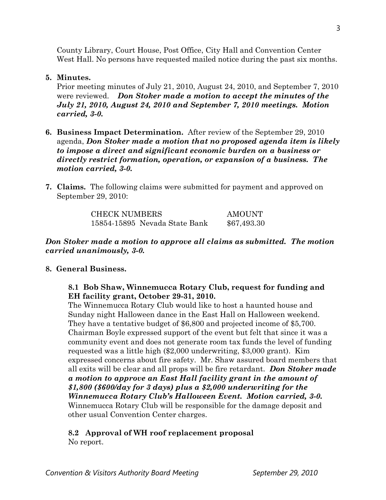County Library, Court House, Post Office, City Hall and Convention Center West Hall. No persons have requested mailed notice during the past six months.

## **5. Minutes.**

Prior meeting minutes of July 21, 2010, August 24, 2010, and September 7, 2010 were reviewed. *Don Stoker made a motion to accept the minutes of the July 21, 2010, August 24, 2010 and September 7, 2010 meetings. Motion carried, 3-0.* 

- **6. Business Impact Determination.** After review of the September 29, 2010 agenda, *Don Stoker made a motion that no proposed agenda item is likely to impose a direct and significant economic burden on a business or directly restrict formation, operation, or expansion of a business. The motion carried, 3-0.*
- **7. Claims.** The following claims were submitted for payment and approved on September 29, 2010:

| <b>CHECK NUMBERS</b> |                               | AMOUNT      |
|----------------------|-------------------------------|-------------|
|                      | 15854-15895 Nevada State Bank | \$67,493.30 |

# *Don Stoker made a motion to approve all claims as submitted. The motion carried unanimously, 3-0.*

# **8. General Business.**

**8.1 Bob Shaw, Winnemucca Rotary Club, request for funding and EH facility grant, October 29-31, 2010.**

The Winnemucca Rotary Club would like to host a haunted house and Sunday night Halloween dance in the East Hall on Halloween weekend. They have a tentative budget of \$6,800 and projected income of \$5,700. Chairman Boyle expressed support of the event but felt that since it was a community event and does not generate room tax funds the level of funding requested was a little high (\$2,000 underwriting, \$3,000 grant). Kim expressed concerns about fire safety. Mr. Shaw assured board members that all exits will be clear and all props will be fire retardant. *Don Stoker made a motion to approve an East Hall facility grant in the amount of \$1,800 (\$600/day for 3 days) plus a \$2,000 underwriting for the Winnemucca Rotary Club's Halloween Event. Motion carried, 3-0.*  Winnemucca Rotary Club will be responsible for the damage deposit and other usual Convention Center charges.

# **8.2 Approval of WH roof replacement proposal**

No report.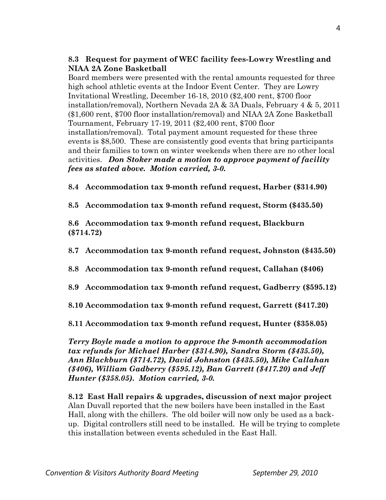# **8.3 Request for payment of WEC facility fees-Lowry Wrestling and NIAA 2A Zone Basketball**

Board members were presented with the rental amounts requested for three high school athletic events at the Indoor Event Center. They are Lowry Invitational Wrestling, December 16-18, 2010 (\$2,400 rent, \$700 floor installation/removal), Northern Nevada 2A & 3A Duals, February 4 & 5, 2011 (\$1,600 rent, \$700 floor installation/removal) and NIAA 2A Zone Basketball Tournament, February 17-19, 2011 (\$2,400 rent, \$700 floor installation/removal). Total payment amount requested for these three events is \$8,500. These are consistently good events that bring participants and their families to town on winter weekends when there are no other local activities. *Don Stoker made a motion to approve payment of facility fees as stated above. Motion carried, 3-0.* 

**8.4 Accommodation tax 9-month refund request, Harber (\$314.90)**

**8.5 Accommodation tax 9-month refund request, Storm (\$435.50)**

**8.6 Accommodation tax 9-month refund request, Blackburn (\$714.72)**

**8.7 Accommodation tax 9-month refund request, Johnston (\$435.50)**

- **8.8 Accommodation tax 9-month refund request, Callahan (\$406)**
- **8.9 Accommodation tax 9-month refund request, Gadberry (\$595.12)**
- **8.10 Accommodation tax 9-month refund request, Garrett (\$417.20)**

**8.11 Accommodation tax 9-month refund request, Hunter (\$358.05)**

*Terry Boyle made a motion to approve the 9-month accommodation tax refunds for Michael Harber (\$314.90), Sandra Storm (\$435.50), Ann Blackburn (\$714.72), David Johnston (\$435.50), Mike Callahan (\$406), William Gadberry (\$595.12), Ban Garrett (\$417.20) and Jeff Hunter (\$358.05). Motion carried, 3-0.*

**8.12 East Hall repairs & upgrades, discussion of next major project** Alan Duvall reported that the new boilers have been installed in the East Hall, along with the chillers. The old boiler will now only be used as a backup. Digital controllers still need to be installed. He will be trying to complete this installation between events scheduled in the East Hall.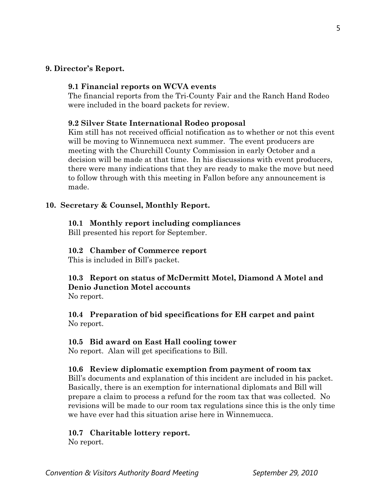#### **9. Director's Report.**

#### **9.1 Financial reports on WCVA events**

The financial reports from the Tri-County Fair and the Ranch Hand Rodeo were included in the board packets for review.

#### **9.2 Silver State International Rodeo proposal**

Kim still has not received official notification as to whether or not this event will be moving to Winnemucca next summer. The event producers are meeting with the Churchill County Commission in early October and a decision will be made at that time. In his discussions with event producers, there were many indications that they are ready to make the move but need to follow through with this meeting in Fallon before any announcement is made.

#### **10. Secretary & Counsel, Monthly Report.**

#### **10.1 Monthly report including compliances**

Bill presented his report for September.

#### **10.2 Chamber of Commerce report**

This is included in Bill's packet.

#### **10.3 Report on status of McDermitt Motel, Diamond A Motel and Denio Junction Motel accounts** No report.

**10.4 Preparation of bid specifications for EH carpet and paint**

#### **10.5 Bid award on East Hall cooling tower**

No report. Alan will get specifications to Bill.

#### **10.6 Review diplomatic exemption from payment of room tax**

Bill's documents and explanation of this incident are included in his packet. Basically, there is an exemption for international diplomats and Bill will prepare a claim to process a refund for the room tax that was collected. No revisions will be made to our room tax regulations since this is the only time we have ever had this situation arise here in Winnemucca.

#### **10.7 Charitable lottery report.**

No report.

No report.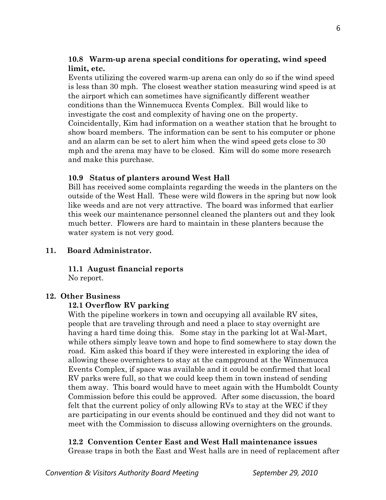# **10.8 Warm-up arena special conditions for operating, wind speed limit, etc.**

Events utilizing the covered warm-up arena can only do so if the wind speed is less than 30 mph. The closest weather station measuring wind speed is at the airport which can sometimes have significantly different weather conditions than the Winnemucca Events Complex. Bill would like to investigate the cost and complexity of having one on the property. Coincidentally, Kim had information on a weather station that he brought to show board members. The information can be sent to his computer or phone and an alarm can be set to alert him when the wind speed gets close to 30 mph and the arena may have to be closed. Kim will do some more research and make this purchase.

## **10.9 Status of planters around West Hall**

Bill has received some complaints regarding the weeds in the planters on the outside of the West Hall. These were wild flowers in the spring but now look like weeds and are not very attractive. The board was informed that earlier this week our maintenance personnel cleaned the planters out and they look much better. Flowers are hard to maintain in these planters because the water system is not very good.

# **11. Board Administrator.**

**11.1 August financial reports** 

No report.

## **12. Other Business**

## **12.1 Overflow RV parking**

With the pipeline workers in town and occupying all available RV sites, people that are traveling through and need a place to stay overnight are having a hard time doing this. Some stay in the parking lot at Wal-Mart, while others simply leave town and hope to find somewhere to stay down the road. Kim asked this board if they were interested in exploring the idea of allowing these overnighters to stay at the campground at the Winnemucca Events Complex, if space was available and it could be confirmed that local RV parks were full, so that we could keep them in town instead of sending them away. This board would have to meet again with the Humboldt County Commission before this could be approved. After some discussion, the board felt that the current policy of only allowing RVs to stay at the WEC if they are participating in our events should be continued and they did not want to meet with the Commission to discuss allowing overnighters on the grounds.

## **12.2 Convention Center East and West Hall maintenance issues**

Grease traps in both the East and West halls are in need of replacement after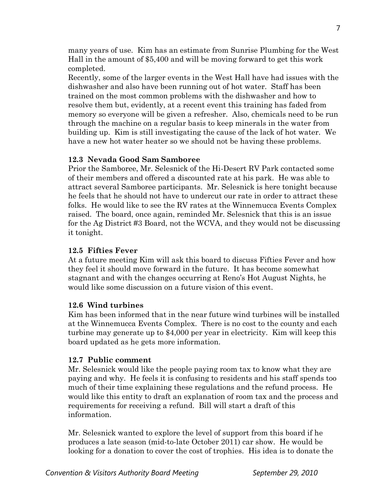many years of use. Kim has an estimate from Sunrise Plumbing for the West Hall in the amount of \$5,400 and will be moving forward to get this work completed.

Recently, some of the larger events in the West Hall have had issues with the dishwasher and also have been running out of hot water. Staff has been trained on the most common problems with the dishwasher and how to resolve them but, evidently, at a recent event this training has faded from memory so everyone will be given a refresher. Also, chemicals need to be run through the machine on a regular basis to keep minerals in the water from building up. Kim is still investigating the cause of the lack of hot water. We have a new hot water heater so we should not be having these problems.

#### **12.3 Nevada Good Sam Samboree**

Prior the Samboree, Mr. Selesnick of the Hi-Desert RV Park contacted some of their members and offered a discounted rate at his park. He was able to attract several Samboree participants. Mr. Selesnick is here tonight because he feels that he should not have to undercut our rate in order to attract these folks. He would like to see the RV rates at the Winnemucca Events Complex raised. The board, once again, reminded Mr. Selesnick that this is an issue for the Ag District #3 Board, not the WCVA, and they would not be discussing it tonight.

#### **12.5 Fifties Fever**

At a future meeting Kim will ask this board to discuss Fifties Fever and how they feel it should move forward in the future. It has become somewhat stagnant and with the changes occurring at Reno's Hot August Nights, he would like some discussion on a future vision of this event.

#### **12.6 Wind turbines**

Kim has been informed that in the near future wind turbines will be installed at the Winnemucca Events Complex. There is no cost to the county and each turbine may generate up to \$4,000 per year in electricity. Kim will keep this board updated as he gets more information.

#### **12.7 Public comment**

Mr. Selesnick would like the people paying room tax to know what they are paying and why. He feels it is confusing to residents and his staff spends too much of their time explaining these regulations and the refund process. He would like this entity to draft an explanation of room tax and the process and requirements for receiving a refund. Bill will start a draft of this information.

Mr. Selesnick wanted to explore the level of support from this board if he produces a late season (mid-to-late October 2011) car show. He would be looking for a donation to cover the cost of trophies. His idea is to donate the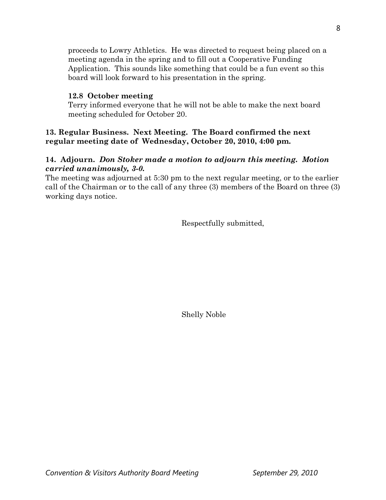proceeds to Lowry Athletics. He was directed to request being placed on a meeting agenda in the spring and to fill out a Cooperative Funding Application. This sounds like something that could be a fun event so this board will look forward to his presentation in the spring.

## **12.8 October meeting**

Terry informed everyone that he will not be able to make the next board meeting scheduled for October 20.

## **13. Regular Business. Next Meeting. The Board confirmed the next regular meeting date of Wednesday, October 20, 2010, 4:00 pm.**

# **14. Adjourn.** *Don Stoker made a motion to adjourn this meeting. Motion carried unanimously, 3-0.*

The meeting was adjourned at 5:30 pm to the next regular meeting, or to the earlier call of the Chairman or to the call of any three (3) members of the Board on three (3) working days notice.

Respectfully submitted,

Shelly Noble